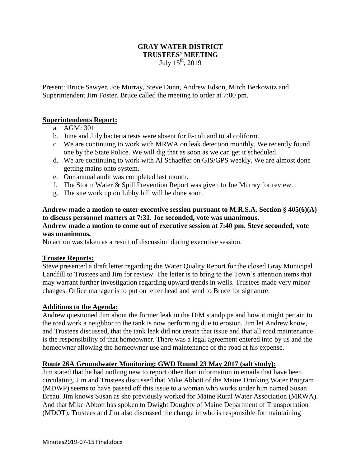## **GRAY WATER DISTRICT TRUSTEES' MEETING** July 15th, 2019

Present: Bruce Sawyer, Joe Murray, Steve Dunn, Andrew Edson, Mitch Berkowitz and Superintendent Jim Foster. Bruce called the meeting to order at 7:00 pm.

# **Superintendents Report:**

- a. AGM: 301
- b. June and July bacteria tests were absent for E-coli and total coliform.
- c. We are continuing to work with MRWA on leak detection monthly. We recently found one by the State Police. We will dig that as soon as we can get it scheduled.
- d. We are continuing to work with Al Schaeffer on GIS/GPS weekly. We are almost done getting mains onto system.
- e. Our annual audit was completed last month.
- f. The Storm Water & Spill Prevention Report was given to Joe Murray for review.
- g. The site work up on Libby hill will be done soon.

### **Andrew made a motion to enter executive session pursuant to M.R.S.A. Section § 405(6)(A) to discuss personnel matters at 7:31. Joe seconded, vote was unanimous.**

#### **Andrew made a motion to come out of executive session at 7:40 pm. Steve seconded, vote was unanimous.**

No action was taken as a result of discussion during executive session.

### **Trustee Reports:**

Steve presented a draft letter regarding the Water Quality Report for the closed Gray Municipal Landfill to Trustees and Jim for review. The letter is to bring to the Town's attention items that may warrant further investigation regarding upward trends in wells. Trustees made very minor changes. Office manager is to put on letter head and send to Bruce for signature.

### **Additions to the Agenda:**

Andrew questioned Jim about the former leak in the D/M standpipe and how it might pertain to the road work a neighbor to the tank is now performing due to erosion. Jim let Andrew know, and Trustees discussed, that the tank leak did not create that issue and that all road maintenance is the responsibility of that homeowner. There was a legal agreement entered into by us and the homeowner allowing the homeowner use and maintenance of the road at his expense.

### **Route 26A Groundwater Monitoring: GWD Round 23 May 2017 (salt study):**

Jim stated that he had nothing new to report other than information in emails that have been circulating. Jim and Trustees discussed that Mike Abbott of the Maine Drinking Water Program (MDWP) seems to have passed off this issue to a woman who works under him named Susan Breau. Jim knows Susan as she previously worked for Maine Rural Water Association (MRWA). And that Mike Abbott has spoken to Dwight Doughty of Maine Department of Transportation (MDOT). Trustees and Jim also discussed the change in who is responsible for maintaining